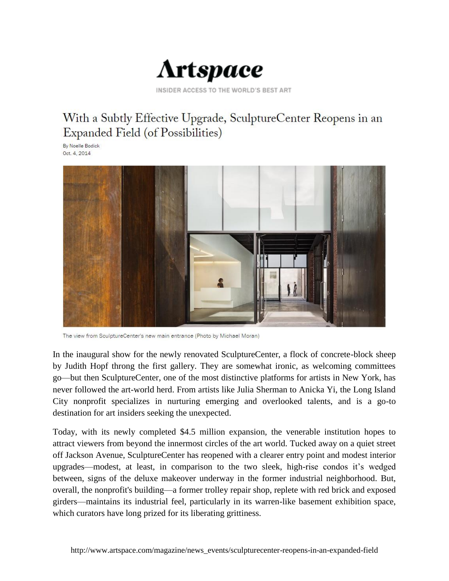

INSIDER ACCESS TO THE WORLD'S BEST ART

## With a Subtly Effective Upgrade, SculptureCenter Reopens in an Expanded Field (of Possibilities)

By Noelle Bodick Oct. 4, 2014



The view from SculptureCenter's new main entrance (Photo by Michael Moran)

In the inaugural show for the newly renovated SculptureCenter, a flock of concrete-block sheep by Judith Hopf throng the first gallery. They are somewhat ironic, as welcoming committees go—but then SculptureCenter, one of the most distinctive platforms for artists in New York, has never followed the art-world herd. From artists like Julia Sherman to Anicka Yi, the Long Island City nonprofit specializes in nurturing emerging and overlooked talents, and is a go-to destination for art insiders seeking the unexpected.

Today, with its newly completed \$4.5 million expansion, the venerable institution hopes to attract viewers from beyond the innermost circles of the art world. Tucked away on a quiet street off Jackson Avenue, SculptureCenter has reopened with a clearer entry point and modest interior upgrades—modest, at least, in comparison to the two sleek, high-rise condos it's wedged between, signs of the deluxe makeover underway in the former industrial neighborhood. But, overall, the nonprofit's building—a former trolley repair shop, replete with red brick and exposed girders—maintains its industrial feel, particularly in its warren-like basement exhibition space, which curators have long prized for its liberating grittiness.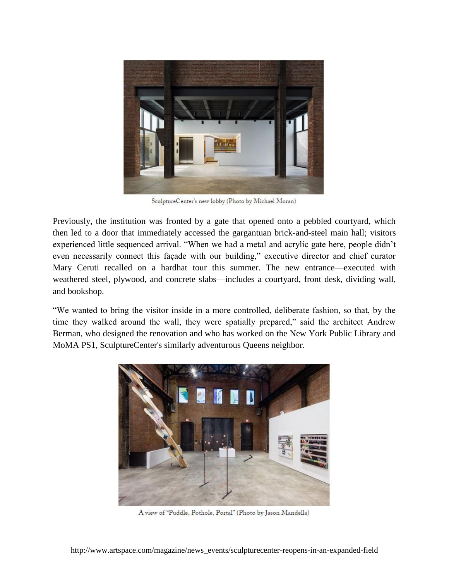

SculptureCenter's new lobby (Photo by Michael Moran)

Previously, the institution was fronted by a gate that opened onto a pebbled courtyard, which then led to a door that immediately accessed the gargantuan brick-and-steel main hall; visitors experienced little sequenced arrival. "When we had a metal and acrylic gate here, people didn't even necessarily connect this façade with our building," executive director and chief curator Mary Ceruti recalled on a hardhat tour this summer. The new entrance—executed with weathered steel, plywood, and concrete slabs—includes a courtyard, front desk, dividing wall, and bookshop.

"We wanted to bring the visitor inside in a more controlled, deliberate fashion, so that, by the time they walked around the wall, they were spatially prepared," said the architect Andrew Berman, who designed the renovation and who has worked on the New York Public Library and MoMA PS1, SculptureCenter's similarly adventurous Queens neighbor.



A view of "Puddle, Pothole, Portal" (Photo by Jason Mandella)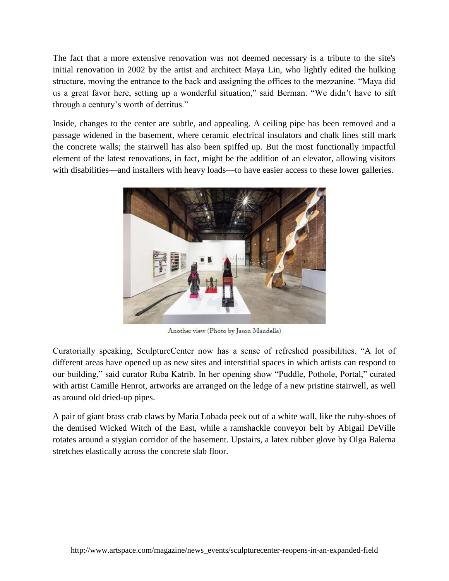The fact that a more extensive renovation was not deemed necessary is a tribute to the site's initial renovation in 2002 by the artist and architect Maya Lin, who lightly edited the hulking structure, moving the entrance to the back and assigning the offices to the mezzanine. "Maya did us a great favor here, setting up a wonderful situation," said Berman. "We didn't have to sift through a century's worth of detritus."

Inside, changes to the center are subtle, and appealing. A ceiling pipe has been removed and a passage widened in the basement, where ceramic electrical insulators and chalk lines still mark the concrete walls; the stairwell has also been spiffed up. But the most functionally impactful element of the latest renovations, in fact, might be the addition of an elevator, allowing visitors with disabilities—and installers with heavy loads—to have easier access to these lower galleries.



Another view (Photo by Jason Mandella)

Curatorially speaking, SculptureCenter now has a sense of refreshed possibilities. "A lot of different areas have opened up as new sites and interstitial spaces in which artists can respond to our building," said curator Ruba Katrib. In her opening show "Puddle, Pothole, Portal," curated with artist Camille Henrot, artworks are arranged on the ledge of a new pristine stairwell, as well as around old dried-up pipes.

A pair of giant brass crab claws by Maria Lobada peek out of a white wall, like the ruby-shoes of the demised Wicked Witch of the East, while a ramshackle conveyor belt by Abigail DeVille rotates around a stygian corridor of the basement. Upstairs, a latex rubber glove by Olga Balema stretches elastically across the concrete slab floor.